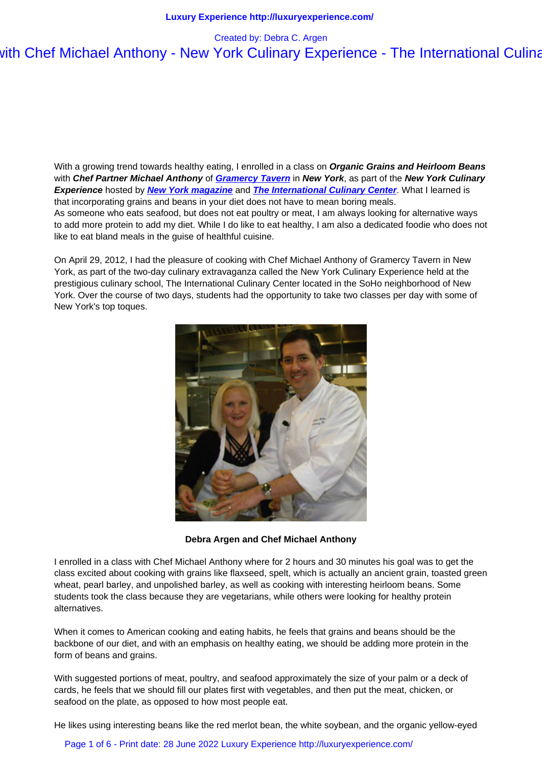With a growing trend towards healthy eating, I enrolled in a class on **Organic Grains and Heirloom Beans** with **Chef Partner Michael Anthony** of **Gramercy Tavern** in **New York**, as part of the **New York Culinary Experience** hosted by **New York magazine** and **The International Culinary Center**. What I learned is that incorporating grains and beans in your diet does not have to mean boring meals. As someone who eats seafood, but does not eat poultry or meat, I am always looking for alternative ways to add more protein to add my diet. Whil[e I do like to eat he](http://www.gramercytavern.com/)althy, I am also a dedicated foodie who does not like to eat bland meals [in the guise of healthf](http://www.nymag.com/)ul cu[isine.](http://www.internationalculinarycenter.com/) 

On April 29, 2012, I had the pleasure of cooking with Chef Michael Anthony of Gramercy Tavern in New York, as part of the two-day culinary extravaganza called the New York Culinary Experience held at the prestigious culinary school, The International Culinary Center located in the SoHo neighborhood of New York. Over the course of two days, students had the opportunity to take two classes per day with some of New York's top toques.



**Debra Argen and Chef Michael Anthony**

I enrolled in a class with Chef Michael Anthony where for 2 hours and 30 minutes his goal was to get the class excited about cooking with grains like flaxseed, spelt, which is actually an ancient grain, toasted green wheat, pearl barley, and unpolished barley, as well as cooking with interesting heirloom beans. Some students took the class because they are vegetarians, while others were looking for healthy protein alternatives.

When it comes to American cooking and eating habits, he feels that grains and beans should be the backbone of our diet, and with an emphasis on healthy eating, we should be adding more protein in the form of beans and grains.

With suggested portions of meat, poultry, and seafood approximately the size of your palm or a deck of cards, he feels that we should fill our plates first with vegetables, and then put the meat, chicken, or seafood on the plate, as opposed to how most people eat.

He likes using interesting beans like the red merlot bean, the white soybean, and the organic yellow-eyed

Page 1 of 6 - Print date: 28 June 2022 Luxury Experience http://luxuryexperience.com/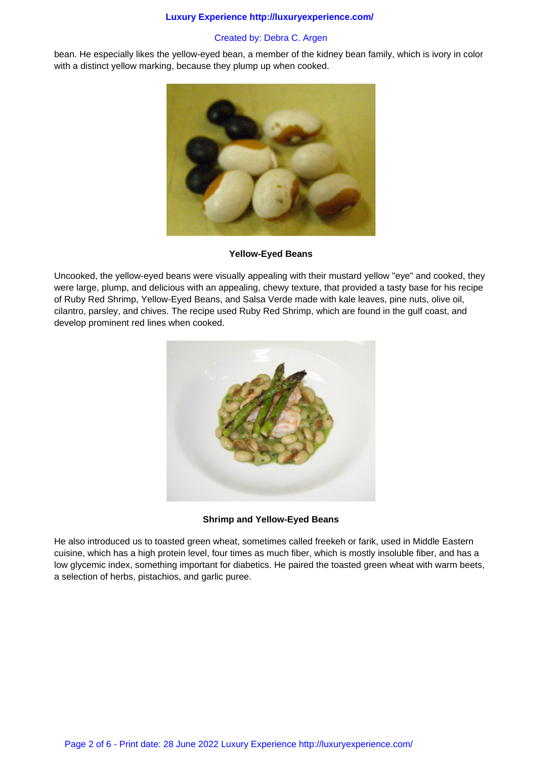#### **Luxury Experience http://luxuryexperience.com/**

# Created by: Debra C. Argen

bean. He especially likes the yellow-eyed bean, a member of the kidney bean family, which is ivory in color with a distinct yellow marking, because they plump up when cooked.



### **Yellow-Eyed Beans**

Uncooked, the yellow-eyed beans were visually appealing with their mustard yellow "eye" and cooked, they were large, plump, and delicious with an appealing, chewy texture, that provided a tasty base for his recipe of Ruby Red Shrimp, Yellow-Eyed Beans, and Salsa Verde made with kale leaves, pine nuts, olive oil, cilantro, parsley, and chives. The recipe used Ruby Red Shrimp, which are found in the gulf coast, and develop prominent red lines when cooked.



# **Shrimp and Yellow-Eyed Beans**

He also introduced us to toasted green wheat, sometimes called freekeh or farik, used in Middle Eastern cuisine, which has a high protein level, four times as much fiber, which is mostly insoluble fiber, and has a low glycemic index, something important for diabetics. He paired the toasted green wheat with warm beets, a selection of herbs, pistachios, and garlic puree.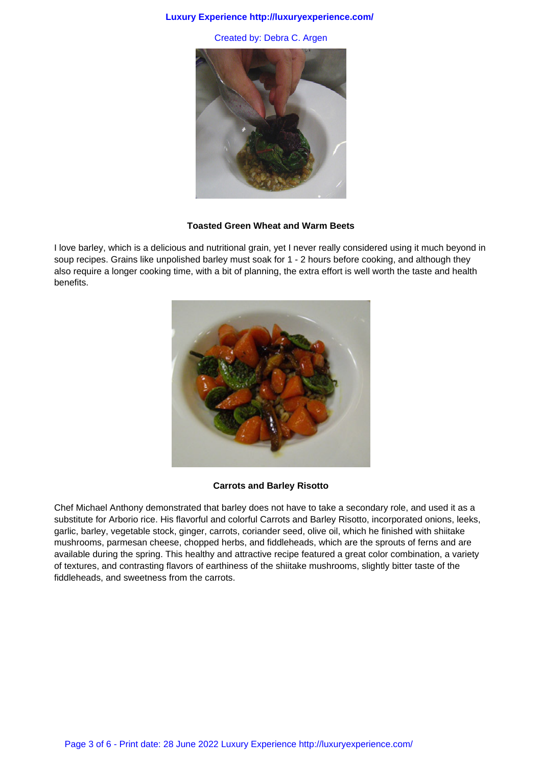#### **Luxury Experience http://luxuryexperience.com/**

Created by: Debra C. Argen



#### **Toasted Green Wheat and Warm Beets**

I love barley, which is a delicious and nutritional grain, yet I never really considered using it much beyond in soup recipes. Grains like unpolished barley must soak for 1 - 2 hours before cooking, and although they also require a longer cooking time, with a bit of planning, the extra effort is well worth the taste and health benefits.



### **Carrots and Barley Risotto**

Chef Michael Anthony demonstrated that barley does not have to take a secondary role, and used it as a substitute for Arborio rice. His flavorful and colorful Carrots and Barley Risotto, incorporated onions, leeks, garlic, barley, vegetable stock, ginger, carrots, coriander seed, olive oil, which he finished with shiitake mushrooms, parmesan cheese, chopped herbs, and fiddleheads, which are the sprouts of ferns and are available during the spring. This healthy and attractive recipe featured a great color combination, a variety of textures, and contrasting flavors of earthiness of the shiitake mushrooms, slightly bitter taste of the fiddleheads, and sweetness from the carrots.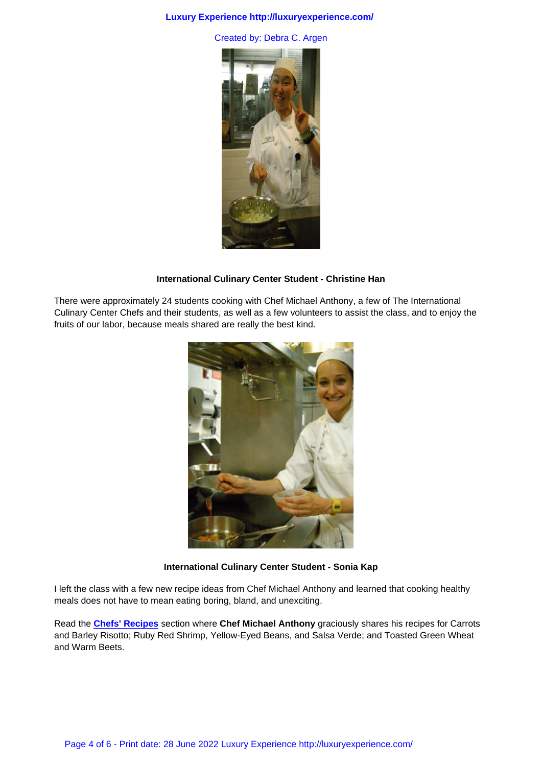

### **International Culinary Center Student - Christine Han**

There were approximately 24 students cooking with Chef Michael Anthony, a few of The International Culinary Center Chefs and their students, as well as a few volunteers to assist the class, and to enjoy the fruits of our labor, because meals shared are really the best kind.



#### **International Culinary Center Student - Sonia Kap**

I left the class with a few new recipe ideas from Chef Michael Anthony and learned that cooking healthy meals does not have to mean eating boring, bland, and unexciting.

Read the **Chefs' Recipes** section where **Chef Michael Anthony** graciously shares his recipes for Carrots and Barley Risotto; Ruby Red Shrimp, Yellow-Eyed Beans, and Salsa Verde; and Toasted Green Wheat and Warm Beets.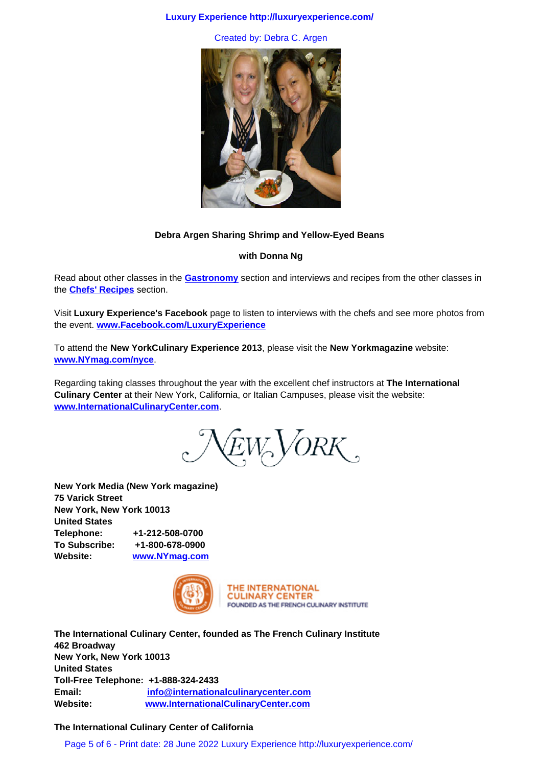

# **Debra Argen Sharing Shrimp and Yellow-Eyed Beans**

# **with Donna Ng**

Read about other classes in the **Gastronomy** section and interviews and recipes from the other classes in the **Chefs' Recipes** section.

Visit **Luxury Experience's Facebook** page to listen to interviews with the chefs and see more photos from the event. **www.Facebook.com[/LuxuryExpe](luxury_lifestyles/gastronomy_articles.html)rience**

To attend the **New YorkCulinary Experience 2013**, please visit the **New Yorkmagazine** website: **www.NYmag.com/nyce**.

Regarding taking classes throughout the year with the excellent chef instructors at **The International Culinary Center** at their New York, California, or Italian Campuses, please visit the website: **[www.InternationalCulin](http://www.nymag.com/nyce)aryCenter.com**.

 $N_{EW}$  VORK,

**New York Media (New York m[agazine\)](http://www.nymag.com)  75 Varick Street New York, New York 10013 United States Telephone: +1-212-508-0700 To Subscribe: +1-800-678-0900 Website: www.NYmag.com**



THE INTERNATIONAL **CULINARY CENTER** FOUNDED AS THE FRENCH CULINARY INSTITUTE

**The International Culinary [Center, founded as The French Culinary Institu](http://www.InternationalCulinaryCenter.com)te 462 Broadway New York, New York 10013 United States Toll-Free Telephone: +1-888-324-2433 Email: info@internationalculinarycenter.com Website: www.InternationalCulinaryCenter.com**

# **The International Culinary Center of California**

Page 5 of 6 - Print [date: 28 June 2022 Luxury Experience http](http://www.internationalculinarycenter.com/)://luxuryexperience.com/